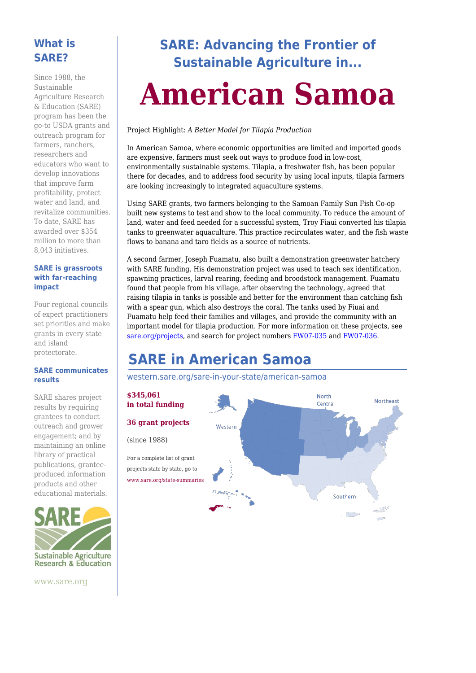#### **What is SARE?**

Since 1988, the Sustainable Agriculture Research & Education (SARE) program has been the go-to USDA grants and outreach program for farmers, ranchers, researchers and educators who want to develop innovations that improve farm profitability, protect water and land, and revitalize communities. To date, SARE has awarded over \$354 million to more than 8,043 initiatives.

#### **SARE is grassroots with far-reaching impact**

Four regional councils of expert practitioners set priorities and make grants in every state and island protectorate.

#### **SARE communicates results**

SARE shares project results by requiring grantees to conduct outreach and grower engagement; and by maintaining an online library of practical publications, granteeproduced information products and other educational materials.



www.sare.org

# **SARE: Advancing the Frontier of Sustainable Agriculture in...**

# **American Samoa**

Project Highlight: *A Better Model for Tilapia Production*

In American Samoa, where economic opportunities are limited and imported goods are expensive, farmers must seek out ways to produce food in low-cost, environmentally sustainable systems. Tilapia, a freshwater fish, has been popular there for decades, and to address food security by using local inputs, tilapia farmers are looking increasingly to integrated aquaculture systems.

Using SARE grants, two farmers belonging to the Samoan Family Sun Fish Co-op built new systems to test and show to the local community. To reduce the amount of land, water and feed needed for a successful system, Troy Fiaui converted his tilapia tanks to greenwater aquaculture. This practice recirculates water, and the fish waste flows to banana and taro fields as a source of nutrients.

A second farmer, Joseph Fuamatu, also built a demonstration greenwater hatchery with SARE funding. His demonstration project was used to teach sex identification, spawning practices, larval rearing, feeding and broodstock management. Fuamatu found that people from his village, after observing the technology, agreed that raising tilapia in tanks is possible and better for the environment than catching fish with a spear gun, which also destroys the coral. The tanks used by Fiuai and Fuamatu help feed their families and villages, and provide the community with an important model for tilapia production. For more information on these projects, see [sare.org/projects,](https://www.sare.org/projects) and search for project numbers [FW07-035](https://projects.sare.org/sare_project/fw07-035/) and [FW07-036.](https://projects.sare.org/sare_project/fw07-036/)

# **SARE in American Samoa**

[western.sare.org/sare-in-your-state/american-samoa](https://western.sare.org/sare-in-your-state/american-samoa)

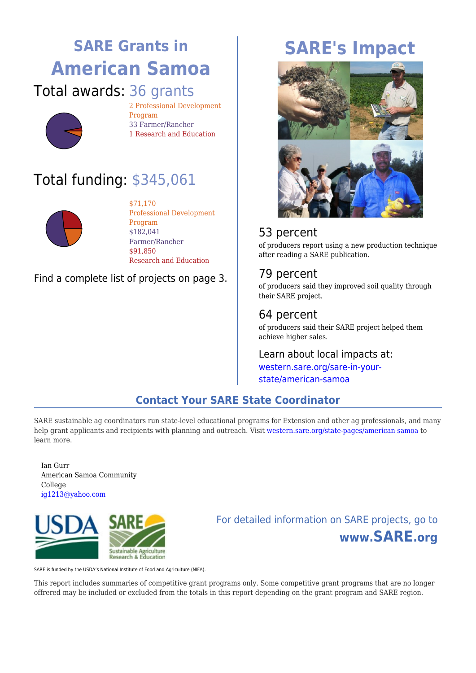# **SARE Grants in American Samoa** Total awards: 36 grants



2 Professional Development Program 33 Farmer/Rancher 1 Research and Education

# Total funding: \$345,061



\$71,170 Professional Development Program \$182,041 Farmer/Rancher \$91,850 Research and Education

#### Find a complete list of projects on page 3.

# **SARE's Impact**



### 53 percent

of producers report using a new production technique after reading a SARE publication.

### 79 percent

of producers said they improved soil quality through their SARE project.

### 64 percent

of producers said their SARE project helped them achieve higher sales.

# Learn about local impacts at:

[western.sare.org/sare-in-your](https://western.sare.org/sare-in-your-state/american-samoa)[state/american-samoa](https://western.sare.org/sare-in-your-state/american-samoa)

### **Contact Your SARE State Coordinator**

SARE sustainable ag coordinators run state-level educational programs for Extension and other ag professionals, and many help grant applicants and recipients with planning and outreach. Visit [western.sare.org/state-pages/american samoa](https://western.sare.org/state-pages/american samoa) to learn more.

Ian Gurr American Samoa Community College [ig1213@yahoo.com](mailto:ig1213@yahoo.com)



# For detailed information on SARE projects, go to **www.SARE.org**

SARE is funded by the USDA's National Institute of Food and Agriculture (NIFA).

This report includes summaries of competitive grant programs only. Some competitive grant programs that are no longer offrered may be included or excluded from the totals in this report depending on the grant program and SARE region.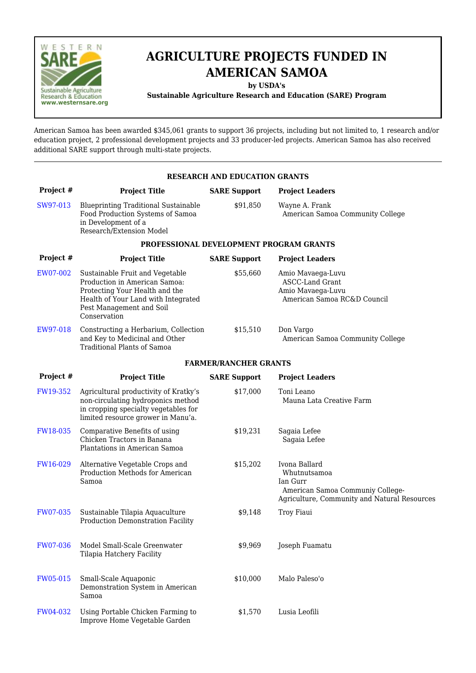

# **AGRICULTURE PROJECTS FUNDED IN AMERICAN SAMOA**

**by USDA's**

**Sustainable Agriculture Research and Education (SARE) Program**

American Samoa has been awarded \$345,061 grants to support 36 projects, including but not limited to, 1 research and/or education project, 2 professional development projects and 33 producer-led projects. American Samoa has also received additional SARE support through multi-state projects.

| <b>RESEARCH AND EDUCATION GRANTS</b> |                                                                                                                                                                                       |                              |                                                                                                                               |  |  |  |  |  |  |
|--------------------------------------|---------------------------------------------------------------------------------------------------------------------------------------------------------------------------------------|------------------------------|-------------------------------------------------------------------------------------------------------------------------------|--|--|--|--|--|--|
| Project #                            | <b>Project Title</b>                                                                                                                                                                  | <b>SARE Support</b>          | <b>Project Leaders</b>                                                                                                        |  |  |  |  |  |  |
| SW97-013                             | <b>Blueprinting Traditional Sustainable</b><br>Food Production Systems of Samoa<br>in Development of a<br>Research/Extension Model                                                    | \$91,850                     | Wayne A. Frank<br>American Samoa Community College                                                                            |  |  |  |  |  |  |
|                                      | PROFESSIONAL DEVELOPMENT PROGRAM GRANTS                                                                                                                                               |                              |                                                                                                                               |  |  |  |  |  |  |
| Project #                            | <b>Project Title</b>                                                                                                                                                                  | <b>SARE Support</b>          | <b>Project Leaders</b>                                                                                                        |  |  |  |  |  |  |
| EW07-002                             | Sustainable Fruit and Vegetable<br>Production in American Samoa:<br>Protecting Your Health and the<br>Health of Your Land with Integrated<br>Pest Management and Soil<br>Conservation | \$55,660                     | Amio Mavaega-Luvu<br><b>ASCC-Land Grant</b><br>Amio Mavaega-Luvu<br>American Samoa RC&D Council                               |  |  |  |  |  |  |
| EW97-018                             | Constructing a Herbarium, Collection<br>and Key to Medicinal and Other<br><b>Traditional Plants of Samoa</b>                                                                          | \$15,510                     | Don Vargo<br>American Samoa Community College                                                                                 |  |  |  |  |  |  |
|                                      |                                                                                                                                                                                       | <b>FARMER/RANCHER GRANTS</b> |                                                                                                                               |  |  |  |  |  |  |
| Project #                            | <b>Project Title</b>                                                                                                                                                                  | <b>SARE Support</b>          | <b>Project Leaders</b>                                                                                                        |  |  |  |  |  |  |
| FW19-352                             | Agricultural productivity of Kratky's<br>non-circulating hydroponics method<br>in cropping specialty vegetables for<br>limited resource grower in Manu'a.                             | \$17,000                     | Toni Leano<br>Mauna Lata Creative Farm                                                                                        |  |  |  |  |  |  |
| FW18-035                             | Comparative Benefits of using<br>Chicken Tractors in Banana<br>Plantations in American Samoa                                                                                          | \$19,231                     | Sagaia Lefee<br>Sagaia Lefee                                                                                                  |  |  |  |  |  |  |
| FW16-029                             | Alternative Vegetable Crops and<br>Production Methods for American<br>Samoa                                                                                                           | \$15,202                     | Ivona Ballard<br>Whutnutsamoa<br>Ian Gurr<br>American Samoa Communiy College-<br>Agriculture, Community and Natural Resources |  |  |  |  |  |  |
| FW07-035                             | Sustainable Tilapia Aquaculture<br>Production Demonstration Facility                                                                                                                  | \$9,148                      | Troy Fiaui                                                                                                                    |  |  |  |  |  |  |
| <b>FW07-036</b>                      | Model Small-Scale Greenwater<br>Tilapia Hatchery Facility                                                                                                                             | \$9,969                      | Joseph Fuamatu                                                                                                                |  |  |  |  |  |  |
| FW05-015                             | Small-Scale Aquaponic<br>Demonstration System in American<br>Samoa                                                                                                                    | \$10,000                     | Malo Paleso'o                                                                                                                 |  |  |  |  |  |  |
| FW04-032                             | Using Portable Chicken Farming to<br>Improve Home Vegetable Garden                                                                                                                    | \$1,570                      | Lusia Leofili                                                                                                                 |  |  |  |  |  |  |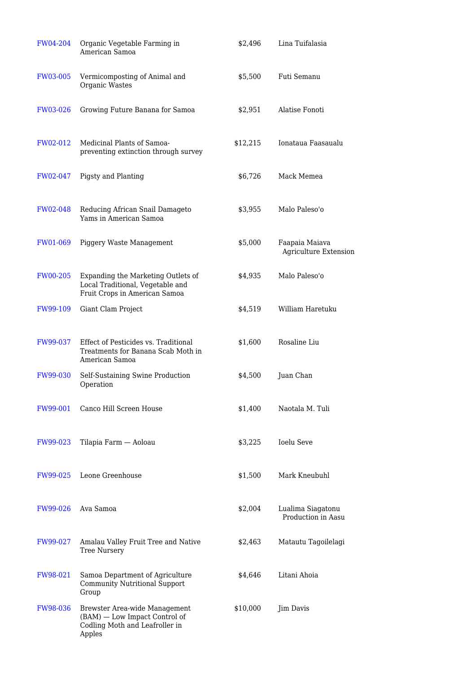| FW04-204        | Organic Vegetable Farming in<br>American Samoa                                                             | \$2,496  | Lina Tuifalasia                                |
|-----------------|------------------------------------------------------------------------------------------------------------|----------|------------------------------------------------|
| <b>FW03-005</b> | Vermicomposting of Animal and<br>Organic Wastes                                                            | \$5,500  | Futi Semanu                                    |
| FW03-026        | Growing Future Banana for Samoa                                                                            | \$2,951  | Alatise Fonoti                                 |
| FW02-012        | Medicinal Plants of Samoa-<br>preventing extinction through survey                                         | \$12,215 | Ionataua Faasaualu                             |
| FW02-047        | Pigsty and Planting                                                                                        | \$6,726  | Mack Memea                                     |
| FW02-048        | Reducing African Snail Damageto<br>Yams in American Samoa                                                  | \$3,955  | Malo Paleso'o                                  |
| <b>FW01-069</b> | Piggery Waste Management                                                                                   | \$5,000  | Faapaia Maiava<br><b>Agriculture Extension</b> |
| <b>FW00-205</b> | Expanding the Marketing Outlets of<br>Local Traditional, Vegetable and<br>Fruit Crops in American Samoa    | \$4,935  | Malo Paleso'o                                  |
| FW99-109        | Giant Clam Project                                                                                         | \$4,519  | William Haretuku                               |
| FW99-037        | Effect of Pesticides vs. Traditional<br>Treatments for Banana Scab Moth in<br>American Samoa               | \$1,600  | Rosaline Liu                                   |
| FW99-030        | Self-Sustaining Swine Production<br>Operation                                                              | \$4,500  | Juan Chan                                      |
| FW99-001        | Canco Hill Screen House                                                                                    | \$1,400  | Naotala M. Tuli                                |
| <b>FW99-023</b> | Tilapia Farm — Aoloau                                                                                      | \$3,225  | <b>Ioelu Seve</b>                              |
| FW99-025        | Leone Greenhouse                                                                                           | \$1,500  | Mark Kneubuhl                                  |
| FW99-026        | Ava Samoa                                                                                                  | \$2,004  | Lualima Siagatonu<br>Production in Aasu        |
| FW99-027        | Amalau Valley Fruit Tree and Native<br><b>Tree Nursery</b>                                                 | \$2,463  | Matautu Tagoilelagi                            |
| FW98-021        | Samoa Department of Agriculture<br><b>Community Nutritional Support</b><br>Group                           | \$4,646  | Litani Ahoia                                   |
| <b>FW98-036</b> | Brewster Area-wide Management<br>(BAM) — Low Impact Control of<br>Codling Moth and Leafroller in<br>Apples | \$10,000 | Jim Davis                                      |